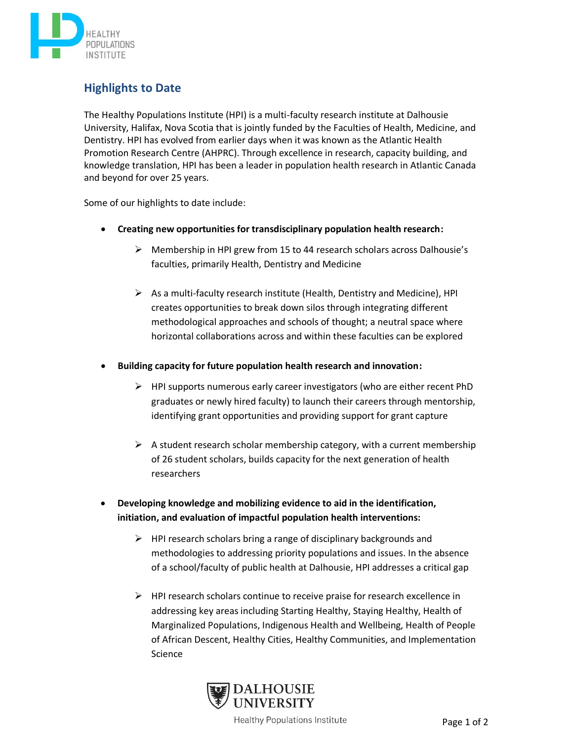

## **Highlights to Date**

The Healthy Populations Institute (HPI) is a multi-faculty research institute at Dalhousie University, Halifax, Nova Scotia that is jointly funded by the Faculties of Health, Medicine, and Dentistry. HPI has evolved from earlier days when it was known as the Atlantic Health Promotion Research Centre (AHPRC). Through excellence in research, capacity building, and knowledge translation, HPI has been a leader in population health research in Atlantic Canada and beyond for over 25 years.

Some of our highlights to date include:

- **Creating new opportunities for transdisciplinary population health research:**
	- ➢ Membership in HPI grew from 15 to 44 research scholars across Dalhousie's faculties, primarily Health, Dentistry and Medicine
	- $\triangleright$  As a multi-faculty research institute (Health, Dentistry and Medicine), HPI creates opportunities to break down silos through integrating different methodological approaches and schools of thought; a neutral space where horizontal collaborations across and within these faculties can be explored
- **Building capacity for future population health research and innovation:** 
	- $\triangleright$  HPI supports numerous early career investigators (who are either recent PhD graduates or newly hired faculty) to launch their careers through mentorship, identifying grant opportunities and providing support for grant capture
	- $\triangleright$  A student research scholar membership category, with a current membership of 26 student scholars, builds capacity for the next generation of health researchers
- **Developing knowledge and mobilizing evidence to aid in the identification, initiation, and evaluation of impactful population health interventions:**
	- $\triangleright$  HPI research scholars bring a range of disciplinary backgrounds and methodologies to addressing priority populations and issues. In the absence of a school/faculty of public health at Dalhousie, HPI addresses a critical gap
	- ➢ HPI research scholars continue to receive praise for research excellence in addressing key areas including Starting Healthy, Staying Healthy, Health of Marginalized Populations, Indigenous Health and Wellbeing, Health of People of African Descent, Healthy Cities, Healthy Communities, and Implementation Science